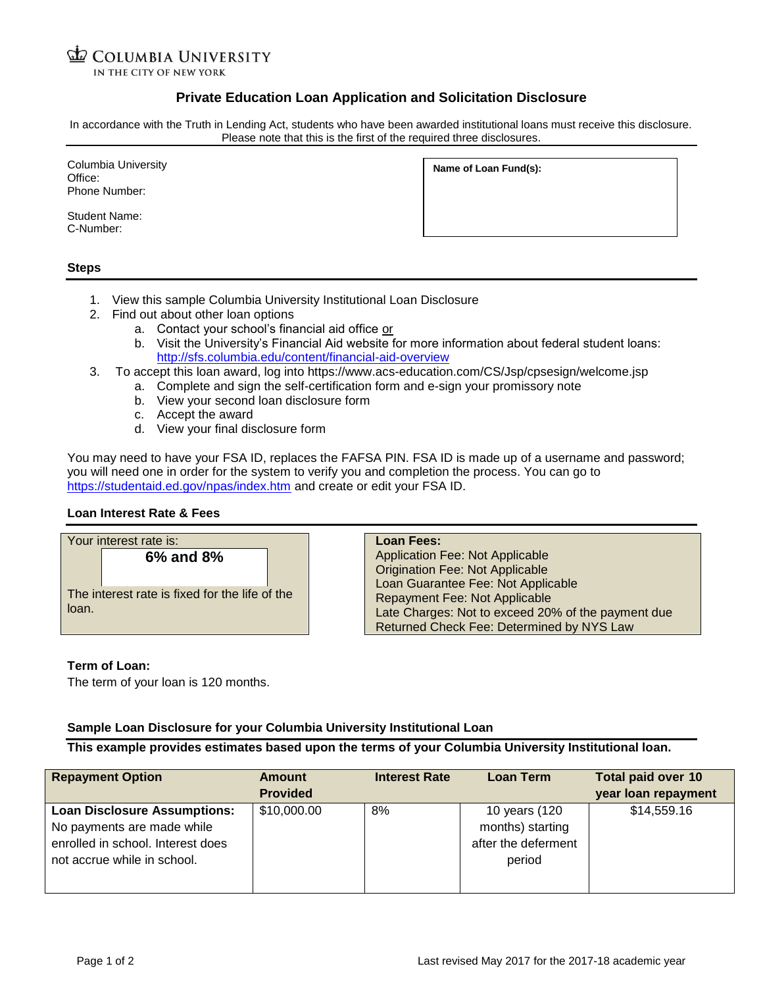# **COLUMBIA UNIVERSITY**

IN THE CITY OF NEW YORK

## **Private Education Loan Application and Solicitation Disclosure**

In accordance with the Truth in Lending Act, students who have been awarded institutional loans must receive this disclosure. Please note that this is the first of the required three disclosures.

Columbia University Office: Phone Number:

Student Name: C-Number:

| Name of Loan Fund(s): |  |  |
|-----------------------|--|--|
|-----------------------|--|--|

### **Steps**

- 1. View this sample Columbia University Institutional Loan Disclosure
- 2. Find out about other loan options
	- a. Contact your school's financial aid office or
	- b. Visit the University's Financial Aid website for more information about federal student loans: <http://sfs.columbia.edu/content/financial-aid-overview>
- 3. To accept this loan award, log into https://www.acs-education.com/CS/Jsp/cpsesign/welcome.jsp
	- a. Complete and sign the self-certification form and e-sign your promissory note
		- b. View your second loan disclosure form
		- c. Accept the award
		- d. View your final disclosure form

You may need to have your FSA ID, replaces the FAFSA PIN. FSA ID is made up of a username and password; you will need one in order for the system to verify you and completion the process. You can go to <https://studentaid.ed.gov/npas/index.htm> and create or edit your FSA ID.

### **Loan Interest Rate & Fees**

|       | Your interest rate is:                                      | Loan Fees:                                                                                                                                                                                                                                                 |
|-------|-------------------------------------------------------------|------------------------------------------------------------------------------------------------------------------------------------------------------------------------------------------------------------------------------------------------------------|
| loan. | 6% and 8%<br>The interest rate is fixed for the life of the | <b>Application Fee: Not Applicable</b><br><b>Origination Fee: Not Applicable</b><br>Loan Guarantee Fee: Not Applicable<br>Repayment Fee: Not Applicable<br>Late Charges: Not to exceed 20% of the payment due<br>Returned Check Fee: Determined by NYS Law |

### **Term of Loan:**

The term of your loan is 120 months.

### **Sample Loan Disclosure for your Columbia University Institutional Loan**

**This example provides estimates based upon the terms of your Columbia University Institutional loan.**

| <b>Repayment Option</b>                                                                                                               | <b>Amount</b><br><b>Provided</b> | <b>Interest Rate</b> | <b>Loan Term</b>                                                   | <b>Total paid over 10</b><br>year loan repayment |
|---------------------------------------------------------------------------------------------------------------------------------------|----------------------------------|----------------------|--------------------------------------------------------------------|--------------------------------------------------|
| <b>Loan Disclosure Assumptions:</b><br>No payments are made while<br>enrolled in school. Interest does<br>not accrue while in school. | \$10,000.00                      | 8%                   | 10 years (120<br>months) starting<br>after the deferment<br>period | \$14,559.16                                      |